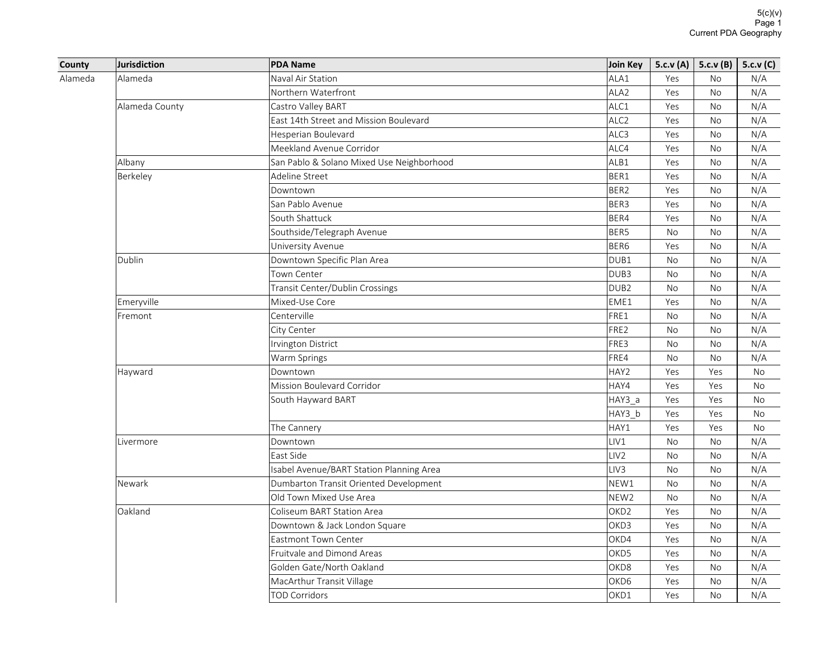| County  | <b>Jurisdiction</b> | <b>PDA Name</b>                           | Join Key         | 5.c.v(A)  | 5.c.v(B)  | 5.c.v(C) |
|---------|---------------------|-------------------------------------------|------------------|-----------|-----------|----------|
| Alameda | Alameda             | Naval Air Station                         | ALA1             | Yes       | <b>No</b> | N/A      |
|         |                     | Northern Waterfront                       | ALA <sub>2</sub> | Yes       | <b>No</b> | N/A      |
|         | Alameda County      | Castro Valley BART                        | ALC1             | Yes       | <b>No</b> | N/A      |
|         |                     | East 14th Street and Mission Boulevard    | ALC <sub>2</sub> | Yes       | No        | N/A      |
|         |                     | Hesperian Boulevard                       | ALC <sub>3</sub> | Yes       | No        | N/A      |
|         |                     | Meekland Avenue Corridor                  | ALC4             | Yes       | <b>No</b> | N/A      |
|         | Albany              | San Pablo & Solano Mixed Use Neighborhood | ALB1             | Yes       | No        | N/A      |
|         | Berkeley            | Adeline Street                            | BER1             | Yes       | <b>No</b> | N/A      |
|         |                     | Downtown                                  | BER <sub>2</sub> | Yes       | No        | N/A      |
|         |                     | San Pablo Avenue                          | BER3             | Yes       | No        | N/A      |
|         |                     | South Shattuck                            | BER4             | Yes       | <b>No</b> | N/A      |
|         |                     | Southside/Telegraph Avenue                | BER5             | <b>No</b> | No        | N/A      |
|         |                     | University Avenue                         | BER <sub>6</sub> | Yes       | No        | N/A      |
|         | Dublin              | Downtown Specific Plan Area               | DUB <sub>1</sub> | No        | No        | N/A      |
|         |                     | Town Center                               | DUB <sub>3</sub> | <b>No</b> | <b>No</b> | N/A      |
|         |                     | Transit Center/Dublin Crossings           | DUB <sub>2</sub> | No        | No        | N/A      |
|         | Emeryville          | Mixed-Use Core                            | EME1             | Yes       | <b>No</b> | N/A      |
|         | Fremont             | Centerville                               | FRE1             | No        | No        | N/A      |
|         |                     | City Center                               | FRE2             | <b>No</b> | No        | N/A      |
|         |                     | Irvington District                        | FRE3             | <b>No</b> | <b>No</b> | N/A      |
|         |                     | Warm Springs                              | FRE4             | <b>No</b> | No        | N/A      |
|         | Hayward             | Downtown                                  | HAY2             | Yes       | Yes       | No       |
|         |                     | Mission Boulevard Corridor                | HAY4             | Yes       | Yes       | No       |
|         |                     | South Hayward BART                        | HAY3_a           | Yes       | Yes       | No       |
|         |                     |                                           | HAY3_b           | Yes       | Yes       | No       |
|         |                     | The Cannery                               | HAY1             | Yes       | Yes       | No       |
|         | Livermore           | Downtown                                  | LIV1             | No        | No        | N/A      |
|         |                     | East Side                                 | LIV <sub>2</sub> | <b>No</b> | No        | N/A      |
|         |                     | Isabel Avenue/BART Station Planning Area  | LIV <sub>3</sub> | No        | No        | N/A      |
|         | Newark              | Dumbarton Transit Oriented Development    | NEW1             | No        | No        | N/A      |
|         |                     | Old Town Mixed Use Area                   | NEW <sub>2</sub> | No        | No        | N/A      |
|         | Oakland             | Coliseum BART Station Area                | OKD <sub>2</sub> | Yes       | No        | N/A      |
|         |                     | Downtown & Jack London Square             | OKD <sub>3</sub> | Yes       | No        | N/A      |
|         |                     | Eastmont Town Center                      | OKD4             | Yes       | No        | N/A      |
|         |                     | Fruitvale and Dimond Areas                | OKD <sub>5</sub> | Yes       | No        | N/A      |
|         |                     | Golden Gate/North Oakland                 | OKD <sub>8</sub> | Yes       | No        | N/A      |
|         |                     | MacArthur Transit Village                 | OKD <sub>6</sub> | Yes       | No        | N/A      |
|         |                     | <b>TOD Corridors</b>                      | OKD1             | Yes       | No        | N/A      |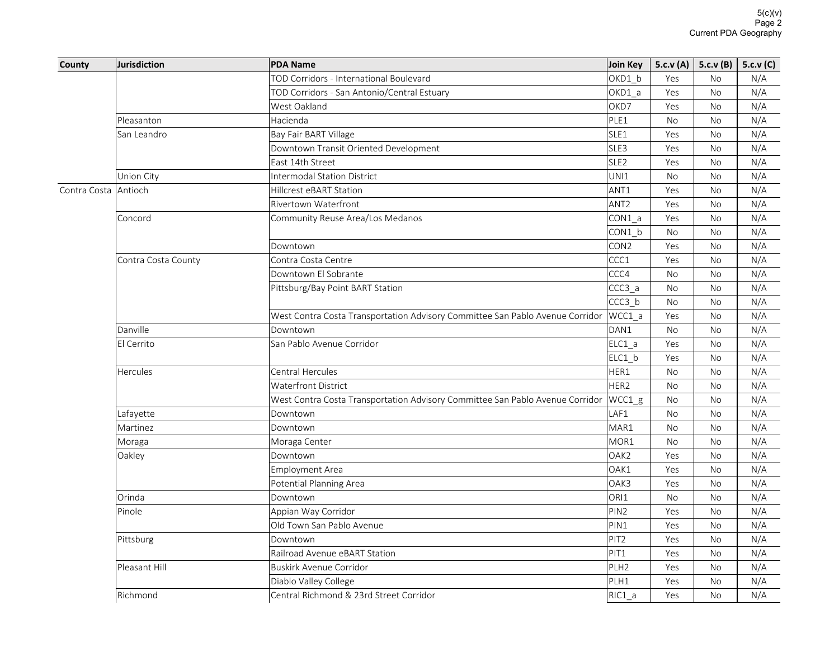| OKD1 b<br>TOD Corridors - International Boulevard<br>Yes<br><b>No</b><br>N/A<br>OKD1_a<br>Yes<br>N/A<br>TOD Corridors - San Antonio/Central Estuary<br>No<br>West Oakland<br>OKD7<br>Yes<br>N/A<br><b>No</b><br>Hacienda<br>PLE1<br>N/A<br>No<br>No<br>Pleasanton<br>SLE1<br>N/A<br>San Leandro<br>Bay Fair BART Village<br>Yes<br>No<br>SLE3<br>Downtown Transit Oriented Development<br>N/A<br>Yes<br><b>No</b><br>East 14th Street<br>SLE <sub>2</sub><br>N/A<br>Yes<br>No<br>Union City<br><b>Intermodal Station District</b><br>UNI1<br><b>No</b><br>N/A<br>No<br>ANT1<br>N/A<br>Contra Costa   Antioch<br>Hillcrest eBART Station<br>Yes<br><b>No</b><br>ANT <sub>2</sub><br>Yes<br>N/A<br>Rivertown Waterfront<br>No<br>Community Reuse Area/Los Medanos<br>CON1 a<br>Yes<br><b>No</b><br>N/A<br>Concord<br>$COM1_b$<br><b>No</b><br>N/A<br><b>No</b><br>CON <sub>2</sub><br>N/A<br>Downtown<br>Yes<br><b>No</b><br>Contra Costa Centre<br>CCC1<br>Yes<br>N/A<br>Contra Costa County<br>No<br>CCC4<br>Downtown El Sobrante<br><b>No</b><br><b>No</b><br>N/A<br>Pittsburg/Bay Point BART Station<br>CCC3 a<br><b>No</b><br>N/A<br>No<br>$CCC3_b$<br>N/A<br>No<br>No<br>West Contra Costa Transportation Advisory Committee San Pablo Avenue Corridor<br>WCC1_a<br>Yes<br>N/A<br><b>No</b><br>Danville<br>DAN1<br>N/A<br><b>No</b><br>No<br>Downtown<br>El Cerrito<br>San Pablo Avenue Corridor<br>ELC1 a<br>Yes<br>No<br>N/A<br>ELC1_b<br>Yes<br><b>No</b><br>N/A<br>Hercules<br><b>Central Hercules</b><br>HER1<br>N/A<br><b>No</b><br><b>No</b><br>HER <sub>2</sub><br><b>Waterfront District</b><br>No<br>No<br>N/A<br>West Contra Costa Transportation Advisory Committee San Pablo Avenue Corridor<br>WCC1_g<br>N/A<br>No<br>No<br>LAF1<br>Lafayette<br>N/A<br>Downtown<br><b>No</b><br><b>No</b><br>MAR1<br>N/A<br>Martinez<br>Downtown<br>No<br>No<br>MOR <sub>1</sub><br>Moraga<br>Moraga Center<br>No<br>N/A<br>No<br>Oakley<br>Downtown<br>OAK <sub>2</sub><br>N/A<br>Yes<br><b>No</b><br>Employment Area<br>OAK1<br>Yes<br>N/A<br>No<br>Potential Planning Area<br>OAK3<br>Yes<br>N/A<br>No<br>ORI1<br><b>No</b><br>N/A<br>Orinda<br>Downtown<br><b>No</b><br>Appian Way Corridor<br>PIN <sub>2</sub><br>N/A<br>Pinole<br>Yes<br>No<br>Old Town San Pablo Avenue<br>PIN1<br>Yes<br>N/A<br><b>No</b><br>PIT <sub>2</sub><br>N/A<br>Pittsburg<br>Downtown<br>Yes<br><b>No</b><br>Railroad Avenue eBART Station<br>PIT <sub>1</sub><br>N/A<br>Yes<br>No<br>Pleasant Hill<br><b>Buskirk Avenue Corridor</b><br>PLH <sub>2</sub><br>Yes<br>N/A<br>No<br>Diablo Valley College<br>PLH1<br>Yes<br>N/A<br>No<br>Central Richmond & 23rd Street Corridor<br>RIC1 a<br>N/A<br>Richmond<br>Yes<br><b>No</b> | County | Jurisdiction | <b>PDA Name</b> | Join Key | 5.c.v (A)   5.c.v (B)   5.c.v (C) |  |
|-------------------------------------------------------------------------------------------------------------------------------------------------------------------------------------------------------------------------------------------------------------------------------------------------------------------------------------------------------------------------------------------------------------------------------------------------------------------------------------------------------------------------------------------------------------------------------------------------------------------------------------------------------------------------------------------------------------------------------------------------------------------------------------------------------------------------------------------------------------------------------------------------------------------------------------------------------------------------------------------------------------------------------------------------------------------------------------------------------------------------------------------------------------------------------------------------------------------------------------------------------------------------------------------------------------------------------------------------------------------------------------------------------------------------------------------------------------------------------------------------------------------------------------------------------------------------------------------------------------------------------------------------------------------------------------------------------------------------------------------------------------------------------------------------------------------------------------------------------------------------------------------------------------------------------------------------------------------------------------------------------------------------------------------------------------------------------------------------------------------------------------------------------------------------------------------------------------------------------------------------------------------------------------------------------------------------------------------------------------------------------------------------------------------------------------------------------------------------------------------------------------------------------------------------------------------------------------------------------------------------------------------------------------------------------------------------------------------|--------|--------------|-----------------|----------|-----------------------------------|--|
|                                                                                                                                                                                                                                                                                                                                                                                                                                                                                                                                                                                                                                                                                                                                                                                                                                                                                                                                                                                                                                                                                                                                                                                                                                                                                                                                                                                                                                                                                                                                                                                                                                                                                                                                                                                                                                                                                                                                                                                                                                                                                                                                                                                                                                                                                                                                                                                                                                                                                                                                                                                                                                                                                                                   |        |              |                 |          |                                   |  |
|                                                                                                                                                                                                                                                                                                                                                                                                                                                                                                                                                                                                                                                                                                                                                                                                                                                                                                                                                                                                                                                                                                                                                                                                                                                                                                                                                                                                                                                                                                                                                                                                                                                                                                                                                                                                                                                                                                                                                                                                                                                                                                                                                                                                                                                                                                                                                                                                                                                                                                                                                                                                                                                                                                                   |        |              |                 |          |                                   |  |
|                                                                                                                                                                                                                                                                                                                                                                                                                                                                                                                                                                                                                                                                                                                                                                                                                                                                                                                                                                                                                                                                                                                                                                                                                                                                                                                                                                                                                                                                                                                                                                                                                                                                                                                                                                                                                                                                                                                                                                                                                                                                                                                                                                                                                                                                                                                                                                                                                                                                                                                                                                                                                                                                                                                   |        |              |                 |          |                                   |  |
|                                                                                                                                                                                                                                                                                                                                                                                                                                                                                                                                                                                                                                                                                                                                                                                                                                                                                                                                                                                                                                                                                                                                                                                                                                                                                                                                                                                                                                                                                                                                                                                                                                                                                                                                                                                                                                                                                                                                                                                                                                                                                                                                                                                                                                                                                                                                                                                                                                                                                                                                                                                                                                                                                                                   |        |              |                 |          |                                   |  |
|                                                                                                                                                                                                                                                                                                                                                                                                                                                                                                                                                                                                                                                                                                                                                                                                                                                                                                                                                                                                                                                                                                                                                                                                                                                                                                                                                                                                                                                                                                                                                                                                                                                                                                                                                                                                                                                                                                                                                                                                                                                                                                                                                                                                                                                                                                                                                                                                                                                                                                                                                                                                                                                                                                                   |        |              |                 |          |                                   |  |
|                                                                                                                                                                                                                                                                                                                                                                                                                                                                                                                                                                                                                                                                                                                                                                                                                                                                                                                                                                                                                                                                                                                                                                                                                                                                                                                                                                                                                                                                                                                                                                                                                                                                                                                                                                                                                                                                                                                                                                                                                                                                                                                                                                                                                                                                                                                                                                                                                                                                                                                                                                                                                                                                                                                   |        |              |                 |          |                                   |  |
|                                                                                                                                                                                                                                                                                                                                                                                                                                                                                                                                                                                                                                                                                                                                                                                                                                                                                                                                                                                                                                                                                                                                                                                                                                                                                                                                                                                                                                                                                                                                                                                                                                                                                                                                                                                                                                                                                                                                                                                                                                                                                                                                                                                                                                                                                                                                                                                                                                                                                                                                                                                                                                                                                                                   |        |              |                 |          |                                   |  |
|                                                                                                                                                                                                                                                                                                                                                                                                                                                                                                                                                                                                                                                                                                                                                                                                                                                                                                                                                                                                                                                                                                                                                                                                                                                                                                                                                                                                                                                                                                                                                                                                                                                                                                                                                                                                                                                                                                                                                                                                                                                                                                                                                                                                                                                                                                                                                                                                                                                                                                                                                                                                                                                                                                                   |        |              |                 |          |                                   |  |
|                                                                                                                                                                                                                                                                                                                                                                                                                                                                                                                                                                                                                                                                                                                                                                                                                                                                                                                                                                                                                                                                                                                                                                                                                                                                                                                                                                                                                                                                                                                                                                                                                                                                                                                                                                                                                                                                                                                                                                                                                                                                                                                                                                                                                                                                                                                                                                                                                                                                                                                                                                                                                                                                                                                   |        |              |                 |          |                                   |  |
|                                                                                                                                                                                                                                                                                                                                                                                                                                                                                                                                                                                                                                                                                                                                                                                                                                                                                                                                                                                                                                                                                                                                                                                                                                                                                                                                                                                                                                                                                                                                                                                                                                                                                                                                                                                                                                                                                                                                                                                                                                                                                                                                                                                                                                                                                                                                                                                                                                                                                                                                                                                                                                                                                                                   |        |              |                 |          |                                   |  |
|                                                                                                                                                                                                                                                                                                                                                                                                                                                                                                                                                                                                                                                                                                                                                                                                                                                                                                                                                                                                                                                                                                                                                                                                                                                                                                                                                                                                                                                                                                                                                                                                                                                                                                                                                                                                                                                                                                                                                                                                                                                                                                                                                                                                                                                                                                                                                                                                                                                                                                                                                                                                                                                                                                                   |        |              |                 |          |                                   |  |
|                                                                                                                                                                                                                                                                                                                                                                                                                                                                                                                                                                                                                                                                                                                                                                                                                                                                                                                                                                                                                                                                                                                                                                                                                                                                                                                                                                                                                                                                                                                                                                                                                                                                                                                                                                                                                                                                                                                                                                                                                                                                                                                                                                                                                                                                                                                                                                                                                                                                                                                                                                                                                                                                                                                   |        |              |                 |          |                                   |  |
|                                                                                                                                                                                                                                                                                                                                                                                                                                                                                                                                                                                                                                                                                                                                                                                                                                                                                                                                                                                                                                                                                                                                                                                                                                                                                                                                                                                                                                                                                                                                                                                                                                                                                                                                                                                                                                                                                                                                                                                                                                                                                                                                                                                                                                                                                                                                                                                                                                                                                                                                                                                                                                                                                                                   |        |              |                 |          |                                   |  |
|                                                                                                                                                                                                                                                                                                                                                                                                                                                                                                                                                                                                                                                                                                                                                                                                                                                                                                                                                                                                                                                                                                                                                                                                                                                                                                                                                                                                                                                                                                                                                                                                                                                                                                                                                                                                                                                                                                                                                                                                                                                                                                                                                                                                                                                                                                                                                                                                                                                                                                                                                                                                                                                                                                                   |        |              |                 |          |                                   |  |
|                                                                                                                                                                                                                                                                                                                                                                                                                                                                                                                                                                                                                                                                                                                                                                                                                                                                                                                                                                                                                                                                                                                                                                                                                                                                                                                                                                                                                                                                                                                                                                                                                                                                                                                                                                                                                                                                                                                                                                                                                                                                                                                                                                                                                                                                                                                                                                                                                                                                                                                                                                                                                                                                                                                   |        |              |                 |          |                                   |  |
|                                                                                                                                                                                                                                                                                                                                                                                                                                                                                                                                                                                                                                                                                                                                                                                                                                                                                                                                                                                                                                                                                                                                                                                                                                                                                                                                                                                                                                                                                                                                                                                                                                                                                                                                                                                                                                                                                                                                                                                                                                                                                                                                                                                                                                                                                                                                                                                                                                                                                                                                                                                                                                                                                                                   |        |              |                 |          |                                   |  |
|                                                                                                                                                                                                                                                                                                                                                                                                                                                                                                                                                                                                                                                                                                                                                                                                                                                                                                                                                                                                                                                                                                                                                                                                                                                                                                                                                                                                                                                                                                                                                                                                                                                                                                                                                                                                                                                                                                                                                                                                                                                                                                                                                                                                                                                                                                                                                                                                                                                                                                                                                                                                                                                                                                                   |        |              |                 |          |                                   |  |
|                                                                                                                                                                                                                                                                                                                                                                                                                                                                                                                                                                                                                                                                                                                                                                                                                                                                                                                                                                                                                                                                                                                                                                                                                                                                                                                                                                                                                                                                                                                                                                                                                                                                                                                                                                                                                                                                                                                                                                                                                                                                                                                                                                                                                                                                                                                                                                                                                                                                                                                                                                                                                                                                                                                   |        |              |                 |          |                                   |  |
|                                                                                                                                                                                                                                                                                                                                                                                                                                                                                                                                                                                                                                                                                                                                                                                                                                                                                                                                                                                                                                                                                                                                                                                                                                                                                                                                                                                                                                                                                                                                                                                                                                                                                                                                                                                                                                                                                                                                                                                                                                                                                                                                                                                                                                                                                                                                                                                                                                                                                                                                                                                                                                                                                                                   |        |              |                 |          |                                   |  |
|                                                                                                                                                                                                                                                                                                                                                                                                                                                                                                                                                                                                                                                                                                                                                                                                                                                                                                                                                                                                                                                                                                                                                                                                                                                                                                                                                                                                                                                                                                                                                                                                                                                                                                                                                                                                                                                                                                                                                                                                                                                                                                                                                                                                                                                                                                                                                                                                                                                                                                                                                                                                                                                                                                                   |        |              |                 |          |                                   |  |
|                                                                                                                                                                                                                                                                                                                                                                                                                                                                                                                                                                                                                                                                                                                                                                                                                                                                                                                                                                                                                                                                                                                                                                                                                                                                                                                                                                                                                                                                                                                                                                                                                                                                                                                                                                                                                                                                                                                                                                                                                                                                                                                                                                                                                                                                                                                                                                                                                                                                                                                                                                                                                                                                                                                   |        |              |                 |          |                                   |  |
|                                                                                                                                                                                                                                                                                                                                                                                                                                                                                                                                                                                                                                                                                                                                                                                                                                                                                                                                                                                                                                                                                                                                                                                                                                                                                                                                                                                                                                                                                                                                                                                                                                                                                                                                                                                                                                                                                                                                                                                                                                                                                                                                                                                                                                                                                                                                                                                                                                                                                                                                                                                                                                                                                                                   |        |              |                 |          |                                   |  |
|                                                                                                                                                                                                                                                                                                                                                                                                                                                                                                                                                                                                                                                                                                                                                                                                                                                                                                                                                                                                                                                                                                                                                                                                                                                                                                                                                                                                                                                                                                                                                                                                                                                                                                                                                                                                                                                                                                                                                                                                                                                                                                                                                                                                                                                                                                                                                                                                                                                                                                                                                                                                                                                                                                                   |        |              |                 |          |                                   |  |
|                                                                                                                                                                                                                                                                                                                                                                                                                                                                                                                                                                                                                                                                                                                                                                                                                                                                                                                                                                                                                                                                                                                                                                                                                                                                                                                                                                                                                                                                                                                                                                                                                                                                                                                                                                                                                                                                                                                                                                                                                                                                                                                                                                                                                                                                                                                                                                                                                                                                                                                                                                                                                                                                                                                   |        |              |                 |          |                                   |  |
|                                                                                                                                                                                                                                                                                                                                                                                                                                                                                                                                                                                                                                                                                                                                                                                                                                                                                                                                                                                                                                                                                                                                                                                                                                                                                                                                                                                                                                                                                                                                                                                                                                                                                                                                                                                                                                                                                                                                                                                                                                                                                                                                                                                                                                                                                                                                                                                                                                                                                                                                                                                                                                                                                                                   |        |              |                 |          |                                   |  |
|                                                                                                                                                                                                                                                                                                                                                                                                                                                                                                                                                                                                                                                                                                                                                                                                                                                                                                                                                                                                                                                                                                                                                                                                                                                                                                                                                                                                                                                                                                                                                                                                                                                                                                                                                                                                                                                                                                                                                                                                                                                                                                                                                                                                                                                                                                                                                                                                                                                                                                                                                                                                                                                                                                                   |        |              |                 |          |                                   |  |
|                                                                                                                                                                                                                                                                                                                                                                                                                                                                                                                                                                                                                                                                                                                                                                                                                                                                                                                                                                                                                                                                                                                                                                                                                                                                                                                                                                                                                                                                                                                                                                                                                                                                                                                                                                                                                                                                                                                                                                                                                                                                                                                                                                                                                                                                                                                                                                                                                                                                                                                                                                                                                                                                                                                   |        |              |                 |          |                                   |  |
|                                                                                                                                                                                                                                                                                                                                                                                                                                                                                                                                                                                                                                                                                                                                                                                                                                                                                                                                                                                                                                                                                                                                                                                                                                                                                                                                                                                                                                                                                                                                                                                                                                                                                                                                                                                                                                                                                                                                                                                                                                                                                                                                                                                                                                                                                                                                                                                                                                                                                                                                                                                                                                                                                                                   |        |              |                 |          |                                   |  |
|                                                                                                                                                                                                                                                                                                                                                                                                                                                                                                                                                                                                                                                                                                                                                                                                                                                                                                                                                                                                                                                                                                                                                                                                                                                                                                                                                                                                                                                                                                                                                                                                                                                                                                                                                                                                                                                                                                                                                                                                                                                                                                                                                                                                                                                                                                                                                                                                                                                                                                                                                                                                                                                                                                                   |        |              |                 |          |                                   |  |
|                                                                                                                                                                                                                                                                                                                                                                                                                                                                                                                                                                                                                                                                                                                                                                                                                                                                                                                                                                                                                                                                                                                                                                                                                                                                                                                                                                                                                                                                                                                                                                                                                                                                                                                                                                                                                                                                                                                                                                                                                                                                                                                                                                                                                                                                                                                                                                                                                                                                                                                                                                                                                                                                                                                   |        |              |                 |          |                                   |  |
|                                                                                                                                                                                                                                                                                                                                                                                                                                                                                                                                                                                                                                                                                                                                                                                                                                                                                                                                                                                                                                                                                                                                                                                                                                                                                                                                                                                                                                                                                                                                                                                                                                                                                                                                                                                                                                                                                                                                                                                                                                                                                                                                                                                                                                                                                                                                                                                                                                                                                                                                                                                                                                                                                                                   |        |              |                 |          |                                   |  |
|                                                                                                                                                                                                                                                                                                                                                                                                                                                                                                                                                                                                                                                                                                                                                                                                                                                                                                                                                                                                                                                                                                                                                                                                                                                                                                                                                                                                                                                                                                                                                                                                                                                                                                                                                                                                                                                                                                                                                                                                                                                                                                                                                                                                                                                                                                                                                                                                                                                                                                                                                                                                                                                                                                                   |        |              |                 |          |                                   |  |
|                                                                                                                                                                                                                                                                                                                                                                                                                                                                                                                                                                                                                                                                                                                                                                                                                                                                                                                                                                                                                                                                                                                                                                                                                                                                                                                                                                                                                                                                                                                                                                                                                                                                                                                                                                                                                                                                                                                                                                                                                                                                                                                                                                                                                                                                                                                                                                                                                                                                                                                                                                                                                                                                                                                   |        |              |                 |          |                                   |  |
|                                                                                                                                                                                                                                                                                                                                                                                                                                                                                                                                                                                                                                                                                                                                                                                                                                                                                                                                                                                                                                                                                                                                                                                                                                                                                                                                                                                                                                                                                                                                                                                                                                                                                                                                                                                                                                                                                                                                                                                                                                                                                                                                                                                                                                                                                                                                                                                                                                                                                                                                                                                                                                                                                                                   |        |              |                 |          |                                   |  |
|                                                                                                                                                                                                                                                                                                                                                                                                                                                                                                                                                                                                                                                                                                                                                                                                                                                                                                                                                                                                                                                                                                                                                                                                                                                                                                                                                                                                                                                                                                                                                                                                                                                                                                                                                                                                                                                                                                                                                                                                                                                                                                                                                                                                                                                                                                                                                                                                                                                                                                                                                                                                                                                                                                                   |        |              |                 |          |                                   |  |
|                                                                                                                                                                                                                                                                                                                                                                                                                                                                                                                                                                                                                                                                                                                                                                                                                                                                                                                                                                                                                                                                                                                                                                                                                                                                                                                                                                                                                                                                                                                                                                                                                                                                                                                                                                                                                                                                                                                                                                                                                                                                                                                                                                                                                                                                                                                                                                                                                                                                                                                                                                                                                                                                                                                   |        |              |                 |          |                                   |  |
|                                                                                                                                                                                                                                                                                                                                                                                                                                                                                                                                                                                                                                                                                                                                                                                                                                                                                                                                                                                                                                                                                                                                                                                                                                                                                                                                                                                                                                                                                                                                                                                                                                                                                                                                                                                                                                                                                                                                                                                                                                                                                                                                                                                                                                                                                                                                                                                                                                                                                                                                                                                                                                                                                                                   |        |              |                 |          |                                   |  |
|                                                                                                                                                                                                                                                                                                                                                                                                                                                                                                                                                                                                                                                                                                                                                                                                                                                                                                                                                                                                                                                                                                                                                                                                                                                                                                                                                                                                                                                                                                                                                                                                                                                                                                                                                                                                                                                                                                                                                                                                                                                                                                                                                                                                                                                                                                                                                                                                                                                                                                                                                                                                                                                                                                                   |        |              |                 |          |                                   |  |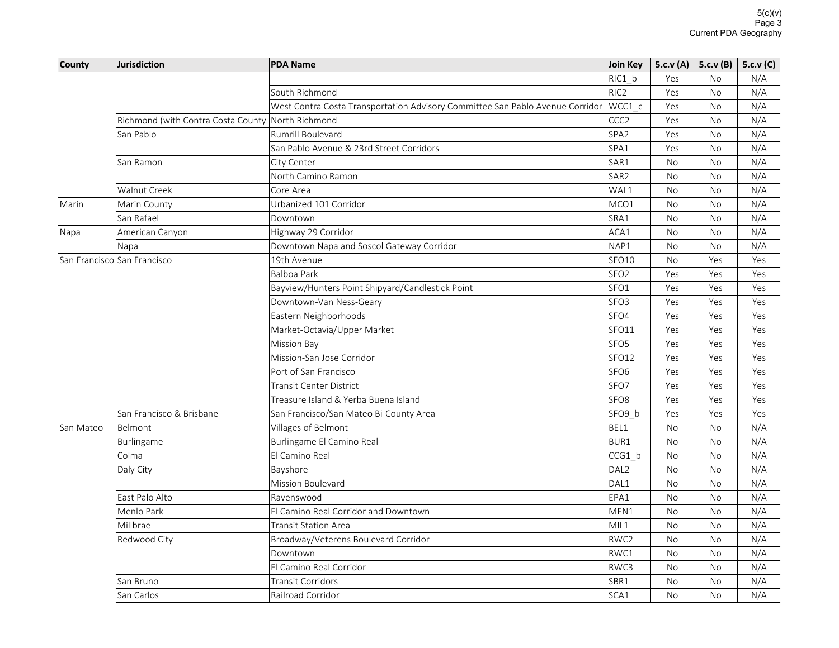| County    | Jurisdiction                                      | <b>PDA Name</b>                                                               | Join Key           |           | 5.c.v (A)   5.c.v (B)   5.c.v (C) |     |
|-----------|---------------------------------------------------|-------------------------------------------------------------------------------|--------------------|-----------|-----------------------------------|-----|
|           |                                                   |                                                                               | RIC1_b             | Yes       | No                                | N/A |
|           |                                                   | South Richmond                                                                | RIC <sub>2</sub>   | Yes       | <b>No</b>                         | N/A |
|           |                                                   | West Contra Costa Transportation Advisory Committee San Pablo Avenue Corridor | WCC1 c             | Yes       | No                                | N/A |
|           | Richmond (with Contra Costa County North Richmond |                                                                               | CCC <sub>2</sub>   | Yes       | <b>No</b>                         | N/A |
|           | San Pablo                                         | Rumrill Boulevard                                                             | SPA <sub>2</sub>   | Yes       | No                                | N/A |
|           |                                                   | San Pablo Avenue & 23rd Street Corridors                                      | SPA1               | Yes       | <b>No</b>                         | N/A |
|           | San Ramon                                         | City Center                                                                   | SAR1               | No        | No                                | N/A |
|           |                                                   | North Camino Ramon                                                            | SAR <sub>2</sub>   | <b>No</b> | <b>No</b>                         | N/A |
|           | Walnut Creek                                      | Core Area                                                                     | WAL1               | <b>No</b> | <b>No</b>                         | N/A |
| Marin     | Marin County                                      | Urbanized 101 Corridor                                                        | MCO1               | No        | No                                | N/A |
|           | San Rafael                                        | Downtown                                                                      | SRA1               | <b>No</b> | <b>No</b>                         | N/A |
| Napa      | American Canyon                                   | Highway 29 Corridor                                                           | ACA1               | <b>No</b> | <b>No</b>                         | N/A |
|           | Napa                                              | Downtown Napa and Soscol Gateway Corridor                                     | NAP1               | <b>No</b> | <b>No</b>                         | N/A |
|           | San Francisco San Francisco                       | 19th Avenue                                                                   | SFO <sub>10</sub>  | <b>No</b> | Yes                               | Yes |
|           |                                                   | Balboa Park                                                                   | SFO <sub>2</sub>   | Yes       | Yes                               | Yes |
|           |                                                   | Bayview/Hunters Point Shipyard/Candlestick Point                              | SFO <sub>1</sub>   | Yes       | Yes                               | Yes |
|           |                                                   | Downtown-Van Ness-Geary                                                       | SFO <sub>3</sub>   | Yes       | Yes                               | Yes |
|           |                                                   | Eastern Neighborhoods                                                         | SFO4               | Yes       | Yes                               | Yes |
|           |                                                   | Market-Octavia/Upper Market                                                   | SFO11              | Yes       | Yes                               | Yes |
|           |                                                   | <b>Mission Bay</b>                                                            | SFO <sub>5</sub>   | Yes       | Yes                               | Yes |
|           |                                                   | Mission-San Jose Corridor                                                     | SFO12              | Yes       | Yes                               | Yes |
|           |                                                   | Port of San Francisco                                                         | SFO <sub>6</sub>   | Yes       | Yes                               | Yes |
|           |                                                   | <b>Transit Center District</b>                                                | SFO7               | Yes       | Yes                               | Yes |
|           |                                                   | Treasure Island & Yerba Buena Island                                          | SFO <sub>8</sub>   | Yes       | Yes                               | Yes |
|           | San Francisco & Brisbane                          | San Francisco/San Mateo Bi-County Area                                        | SFO <sub>9</sub> b | Yes       | Yes                               | Yes |
| San Mateo | Belmont                                           | Villages of Belmont                                                           | BEL1               | <b>No</b> | No                                | N/A |
|           | Burlingame                                        | Burlingame El Camino Real                                                     | BUR1               | <b>No</b> | <b>No</b>                         | N/A |
|           | Colma                                             | El Camino Real                                                                | CCG1 b             | <b>No</b> | No                                | N/A |
|           | Daly City                                         | Bayshore                                                                      | DAL <sub>2</sub>   | No        | No                                | N/A |
|           |                                                   | Mission Boulevard                                                             | DAL1               | <b>No</b> | <b>No</b>                         | N/A |
|           | East Palo Alto                                    | Ravenswood                                                                    | EPA1               | No        | No                                | N/A |
|           | Menlo Park                                        | El Camino Real Corridor and Downtown                                          | MEN1               | <b>No</b> | <b>No</b>                         | N/A |
|           | Millbrae                                          | <b>Transit Station Area</b>                                                   | MIL1               | No        | No                                | N/A |
|           | Redwood City                                      | Broadway/Veterens Boulevard Corridor                                          | RWC <sub>2</sub>   | <b>No</b> | <b>No</b>                         | N/A |
|           |                                                   | Downtown                                                                      | RWC1               | No        | No                                | N/A |
|           |                                                   | El Camino Real Corridor                                                       | RWC3               | <b>No</b> | <b>No</b>                         | N/A |
|           | San Bruno                                         | <b>Transit Corridors</b>                                                      | SBR1               | <b>No</b> | <b>No</b>                         | N/A |
|           | San Carlos                                        | Railroad Corridor                                                             | SCA1               | <b>No</b> | <b>No</b>                         | N/A |
|           |                                                   |                                                                               |                    |           |                                   |     |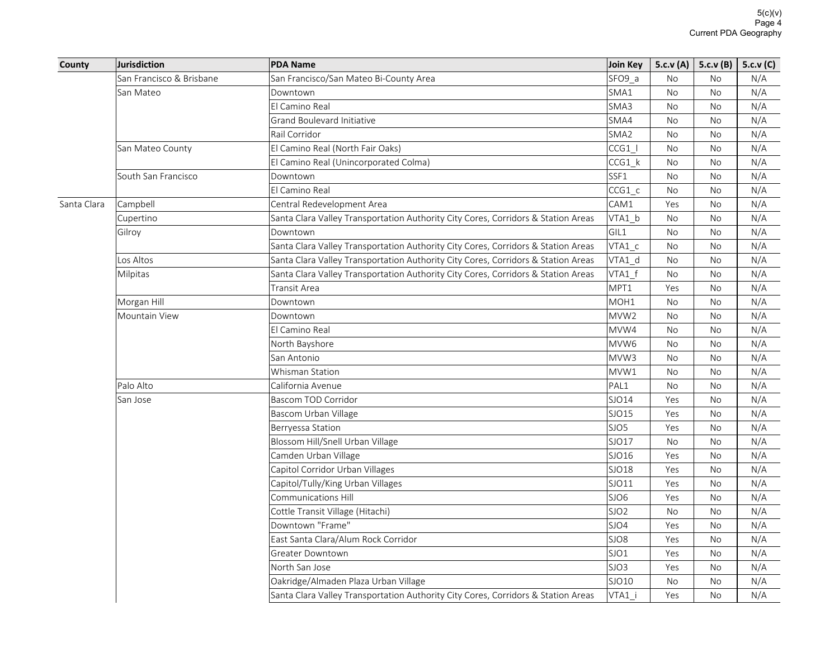| County      | Jurisdiction             | <b>PDA Name</b>                                                                   | Join Key         |           | 5.c.v (A)   5.c.v (B)   5.c.v (C) |     |
|-------------|--------------------------|-----------------------------------------------------------------------------------|------------------|-----------|-----------------------------------|-----|
|             | San Francisco & Brisbane | San Francisco/San Mateo Bi-County Area                                            | SFO9 a           | No        | <b>No</b>                         | N/A |
|             | San Mateo                | Downtown                                                                          | SMA1             | No        | No                                | N/A |
|             |                          | El Camino Real                                                                    | SMA3             | <b>No</b> | <b>No</b>                         | N/A |
|             |                          | Grand Boulevard Initiative                                                        | SMA4             | No        | No                                | N/A |
|             |                          | Rail Corridor                                                                     | SMA <sub>2</sub> | No        | No                                | N/A |
|             | San Mateo County         | El Camino Real (North Fair Oaks)                                                  | CCG1 I           | <b>No</b> | <b>No</b>                         | N/A |
|             |                          | El Camino Real (Unincorporated Colma)                                             | CCG1 k           | No        | No                                | N/A |
|             | South San Francisco      | Downtown                                                                          | SSF1             | <b>No</b> | No                                | N/A |
|             |                          | El Camino Real                                                                    | $CCG1_c$         | No        | <b>No</b>                         | N/A |
| Santa Clara | Campbell                 | Central Redevelopment Area                                                        | CAM1             | Yes       | No                                | N/A |
|             | Cupertino                | Santa Clara Valley Transportation Authority City Cores, Corridors & Station Areas | VTA1 b           | No        | No                                | N/A |
|             | Gilroy                   | Downtown                                                                          | GIL1             | <b>No</b> | <b>No</b>                         | N/A |
|             |                          | Santa Clara Valley Transportation Authority City Cores, Corridors & Station Areas | VTA1 c           | <b>No</b> | No                                | N/A |
|             | Los Altos                | Santa Clara Valley Transportation Authority City Cores, Corridors & Station Areas | VTA1 d           | No        | No                                | N/A |
|             | Milpitas                 | Santa Clara Valley Transportation Authority City Cores, Corridors & Station Areas | VTA1_f           | <b>No</b> | No                                | N/A |
|             |                          | Transit Area                                                                      | MPT1             | Yes       | No                                | N/A |
|             | Morgan Hill              | Downtown                                                                          | MOH <sub>1</sub> | <b>No</b> | No                                | N/A |
|             | Mountain View            | Downtown                                                                          | MVW <sub>2</sub> | <b>No</b> | <b>No</b>                         | N/A |
|             |                          | El Camino Real                                                                    | MVW4             | <b>No</b> | No                                | N/A |
|             |                          | North Bayshore                                                                    | MVW6             | No        | No                                | N/A |
|             |                          | San Antonio                                                                       | MVW3             | <b>No</b> | <b>No</b>                         | N/A |
|             |                          | Whisman Station                                                                   | MVW1             | <b>No</b> | <b>No</b>                         | N/A |
|             | Palo Alto                | California Avenue                                                                 | PAL1             | No        | No                                | N/A |
|             | San Jose                 | Bascom TOD Corridor                                                               | SJO14            | Yes       | No                                | N/A |
|             |                          | Bascom Urban Village                                                              | SJO15            | Yes       | <b>No</b>                         | N/A |
|             |                          | Berryessa Station                                                                 | SJO <sub>5</sub> | Yes       | No                                | N/A |
|             |                          | Blossom Hill/Snell Urban Village                                                  | SJO17            | No        | No                                | N/A |
|             |                          | Camden Urban Village                                                              | SJO16            | Yes       | <b>No</b>                         | N/A |
|             |                          | Capitol Corridor Urban Villages                                                   | SJO18            | Yes       | No                                | N/A |
|             |                          | Capitol/Tully/King Urban Villages                                                 | SJ011            | Yes       | No                                | N/A |
|             |                          | Communications Hill                                                               | SJO <sub>6</sub> | Yes       | <b>No</b>                         | N/A |
|             |                          | Cottle Transit Village (Hitachi)                                                  | SJO <sub>2</sub> | No        | No                                | N/A |
|             |                          | Downtown "Frame"                                                                  | SJO4             | Yes       | <b>No</b>                         | N/A |
|             |                          | East Santa Clara/Alum Rock Corridor                                               | SJO8             | Yes       | <b>No</b>                         | N/A |
|             |                          | Greater Downtown                                                                  | SJO1             | Yes       | No                                | N/A |
|             |                          | North San Jose                                                                    | SJO3             | Yes       | No                                | N/A |
|             |                          | Oakridge/Almaden Plaza Urban Village                                              | SJO10            | No        | No                                | N/A |
|             |                          | Santa Clara Valley Transportation Authority City Cores, Corridors & Station Areas | VTA1 i           | Yes       | <b>No</b>                         | N/A |